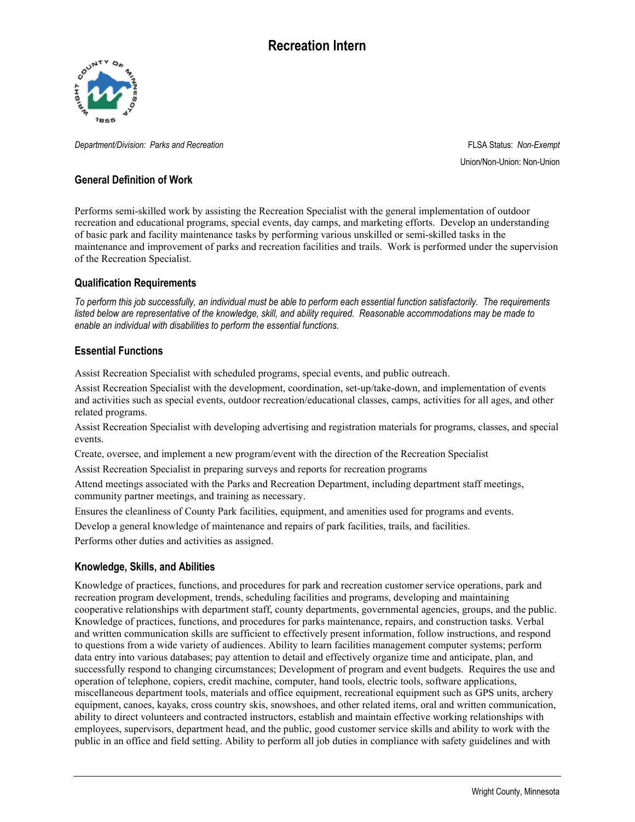

*Department/Division: Parks and Recreation* FLSA Status: *Non-Exempt*

Union/Non-Union: Non-Union

### **General Definition of Work**

Performs semi-skilled work by assisting the Recreation Specialist with the general implementation of outdoor recreation and educational programs, special events, day camps, and marketing efforts. Develop an understanding of basic park and facility maintenance tasks by performing various unskilled or semi-skilled tasks in the maintenance and improvement of parks and recreation facilities and trails. Work is performed under the supervision of the Recreation Specialist.

### **Qualification Requirements**

*To perform this job successfully, an individual must be able to perform each essential function satisfactorily. The requirements listed below are representative of the knowledge, skill, and ability required. Reasonable accommodations may be made to enable an individual with disabilities to perform the essential functions.*

### **Essential Functions**

Assist Recreation Specialist with scheduled programs, special events, and public outreach.

Assist Recreation Specialist with the development, coordination, set-up/take-down, and implementation of events and activities such as special events, outdoor recreation/educational classes, camps, activities for all ages, and other related programs.

Assist Recreation Specialist with developing advertising and registration materials for programs, classes, and special events.

Create, oversee, and implement a new program/event with the direction of the Recreation Specialist

Assist Recreation Specialist in preparing surveys and reports for recreation programs

Attend meetings associated with the Parks and Recreation Department, including department staff meetings, community partner meetings, and training as necessary.

Ensures the cleanliness of County Park facilities, equipment, and amenities used for programs and events.

Develop a general knowledge of maintenance and repairs of park facilities, trails, and facilities.

Performs other duties and activities as assigned.

### **Knowledge, Skills, and Abilities**

Knowledge of practices, functions, and procedures for park and recreation customer service operations, park and recreation program development, trends, scheduling facilities and programs, developing and maintaining cooperative relationships with department staff, county departments, governmental agencies, groups, and the public. Knowledge of practices, functions, and procedures for parks maintenance, repairs, and construction tasks. Verbal and written communication skills are sufficient to effectively present information, follow instructions, and respond to questions from a wide variety of audiences. Ability to learn facilities management computer systems; perform data entry into various databases; pay attention to detail and effectively organize time and anticipate, plan, and successfully respond to changing circumstances; Development of program and event budgets. Requires the use and operation of telephone, copiers, credit machine, computer, hand tools, electric tools, software applications, miscellaneous department tools, materials and office equipment, recreational equipment such as GPS units, archery equipment, canoes, kayaks, cross country skis, snowshoes, and other related items, oral and written communication, ability to direct volunteers and contracted instructors, establish and maintain effective working relationships with employees, supervisors, department head, and the public, good customer service skills and ability to work with the public in an office and field setting. Ability to perform all job duties in compliance with safety guidelines and with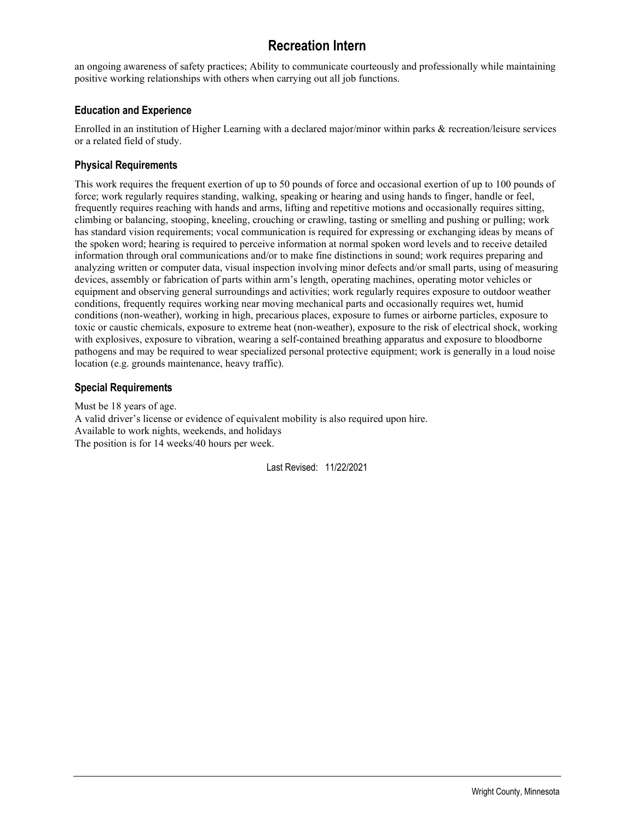# **Recreation Intern**

an ongoing awareness of safety practices; Ability to communicate courteously and professionally while maintaining positive working relationships with others when carrying out all job functions.

### **Education and Experience**

Enrolled in an institution of Higher Learning with a declared major/minor within parks & recreation/leisure services or a related field of study.

### **Physical Requirements**

This work requires the frequent exertion of up to 50 pounds of force and occasional exertion of up to 100 pounds of force; work regularly requires standing, walking, speaking or hearing and using hands to finger, handle or feel, frequently requires reaching with hands and arms, lifting and repetitive motions and occasionally requires sitting, climbing or balancing, stooping, kneeling, crouching or crawling, tasting or smelling and pushing or pulling; work has standard vision requirements; vocal communication is required for expressing or exchanging ideas by means of the spoken word; hearing is required to perceive information at normal spoken word levels and to receive detailed information through oral communications and/or to make fine distinctions in sound; work requires preparing and analyzing written or computer data, visual inspection involving minor defects and/or small parts, using of measuring devices, assembly or fabrication of parts within arm's length, operating machines, operating motor vehicles or equipment and observing general surroundings and activities; work regularly requires exposure to outdoor weather conditions, frequently requires working near moving mechanical parts and occasionally requires wet, humid conditions (non-weather), working in high, precarious places, exposure to fumes or airborne particles, exposure to toxic or caustic chemicals, exposure to extreme heat (non-weather), exposure to the risk of electrical shock, working with explosives, exposure to vibration, wearing a self-contained breathing apparatus and exposure to bloodborne pathogens and may be required to wear specialized personal protective equipment; work is generally in a loud noise location (e.g. grounds maintenance, heavy traffic).

### **Special Requirements**

Must be 18 years of age. A valid driver's license or evidence of equivalent mobility is also required upon hire. Available to work nights, weekends, and holidays The position is for 14 weeks/40 hours per week.

Last Revised: 11/22/2021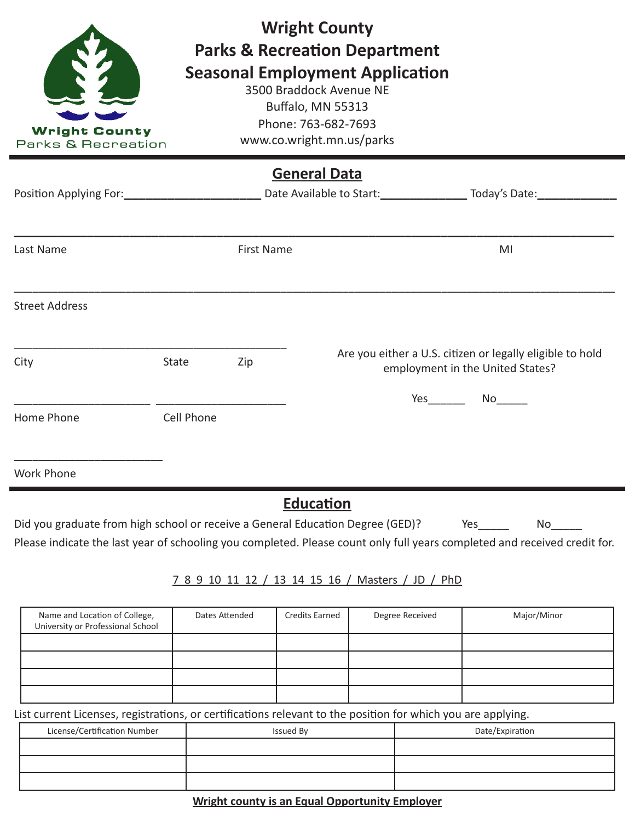| <b>Wright County</b><br>Parks & Recreation             |            |                   | <b>Wright County</b><br><b>Parks &amp; Recreation Department</b><br><b>Seasonal Employment Application</b><br>3500 Braddock Avenue NE<br>Buffalo, MN 55313<br>Phone: 763-682-7693<br>www.co.wright.mn.us/parks                                |
|--------------------------------------------------------|------------|-------------------|-----------------------------------------------------------------------------------------------------------------------------------------------------------------------------------------------------------------------------------------------|
|                                                        |            |                   | <b>General Data</b>                                                                                                                                                                                                                           |
| Position Applying For: National Position Applying For: |            |                   | Date Available to Start: Today's Date:                                                                                                                                                                                                        |
|                                                        |            |                   |                                                                                                                                                                                                                                               |
| Last Name                                              |            | <b>First Name</b> | MI                                                                                                                                                                                                                                            |
| <b>Street Address</b>                                  |            |                   |                                                                                                                                                                                                                                               |
| City                                                   | State      | Zip               | Are you either a U.S. citizen or legally eligible to hold<br>employment in the United States?                                                                                                                                                 |
|                                                        |            |                   | <b>Yes</b> and the set of the set of the set of the set of the set of the set of the set of the set of the set of the set of the set of the set of the set of the set of the set of the set of the set of the set of the set of the<br>No lim |
| Home Phone                                             | Cell Phone |                   |                                                                                                                                                                                                                                               |
|                                                        |            |                   |                                                                                                                                                                                                                                               |
| <b>Work Phone</b>                                      |            |                   |                                                                                                                                                                                                                                               |

# **Education**

Did you graduate from high school or receive a General Education Degree (GED)? Yes\_\_\_\_\_ No\_\_\_\_ Please indicate the last year of schooling you completed. Please count only full years completed and received credit for.

## 7 8 9 10 11 12 / 13 14 15 16 / Masters / JD / PhD

| Name and Location of College,<br>University or Professional School | Dates Attended | <b>Credits Earned</b> | Degree Received | Major/Minor |
|--------------------------------------------------------------------|----------------|-----------------------|-----------------|-------------|
|                                                                    |                |                       |                 |             |
|                                                                    |                |                       |                 |             |
|                                                                    |                |                       |                 |             |
|                                                                    |                |                       |                 |             |

List current Licenses, registrations, or certifications relevant to the position for which you are applying.

| ີ                            |                  |                 |
|------------------------------|------------------|-----------------|
| License/Certification Number | <b>Issued By</b> | Date/Expiration |
|                              |                  |                 |
|                              |                  |                 |
|                              |                  |                 |

## **Wright county is an Equal Opportunity Employer**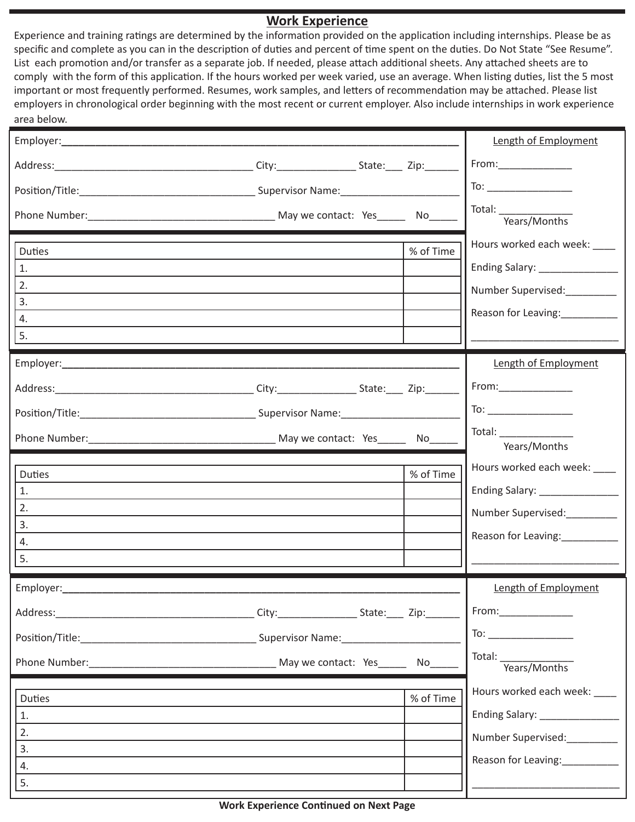## **Work Experience**

Experience and training ratings are determined by the information provided on the application including internships. Please be as specific and complete as you can in the description of duties and percent of time spent on the duties. Do Not State "See Resume". List each promotion and/or transfer as a separate job. If needed, please attach additional sheets. Any attached sheets are to comply with the form of this application. If the hours worked per week varied, use an average. When listing duties, list the 5 most important or most frequently performed. Resumes, work samples, and letters of recommendation may be attached. Please list employers in chronological order beginning with the most recent or current employer. Also include internships in work experience area below.

| area pelow.                                 |  |           |                                                                                                                                                                                                                                                                                                                                                     |
|---------------------------------------------|--|-----------|-----------------------------------------------------------------------------------------------------------------------------------------------------------------------------------------------------------------------------------------------------------------------------------------------------------------------------------------------------|
|                                             |  |           | Length of Employment                                                                                                                                                                                                                                                                                                                                |
|                                             |  |           | From:______________                                                                                                                                                                                                                                                                                                                                 |
|                                             |  |           | $\begin{picture}(180,10) \put(0,0){\line(1,0){10}} \put(15,0){\line(1,0){10}} \put(15,0){\line(1,0){10}} \put(15,0){\line(1,0){10}} \put(15,0){\line(1,0){10}} \put(15,0){\line(1,0){10}} \put(15,0){\line(1,0){10}} \put(15,0){\line(1,0){10}} \put(15,0){\line(1,0){10}} \put(15,0){\line(1,0){10}} \put(15,0){\line(1,0){10}} \put(15,0){\line($ |
|                                             |  |           | Total: Years/Months                                                                                                                                                                                                                                                                                                                                 |
| <b>Duties</b><br>1.<br>2.<br>3.<br>4.<br>5. |  | % of Time | Hours worked each week: ____<br>Ending Salary: ________________<br>Number Supervised:<br>Reason for Leaving:___________                                                                                                                                                                                                                             |
|                                             |  |           | Length of Employment                                                                                                                                                                                                                                                                                                                                |
|                                             |  |           | From:_________________<br>$\begin{tabular}{c} \hline \text{To:} \end{tabular}$<br>Total: Total:                                                                                                                                                                                                                                                     |
| <b>Duties</b><br>1.<br>2.<br>3.<br>4.<br>5. |  | % of Time | Years/Months<br>Hours worked each week: ____<br>Ending Salary: _______________<br>Number Supervised:<br>Reason for Leaving:___________                                                                                                                                                                                                              |
|                                             |  |           | Length of Employment                                                                                                                                                                                                                                                                                                                                |
|                                             |  | No        | Total: Years/Months                                                                                                                                                                                                                                                                                                                                 |
| Duties<br>1.<br>2.<br>3.<br>4.<br>5.        |  | % of Time | Hours worked each week: ____<br>Ending Salary: ________________<br>Number Supervised:<br>Reason for Leaving:                                                                                                                                                                                                                                        |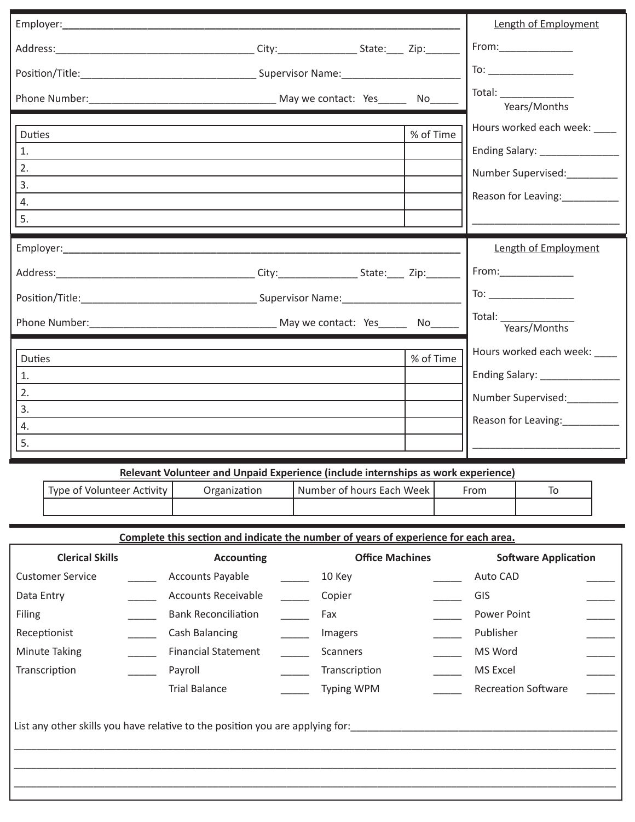|               |                                                                                   |           | Length of Employment                                                                                                                                                                                                                                                                                                                                |
|---------------|-----------------------------------------------------------------------------------|-----------|-----------------------------------------------------------------------------------------------------------------------------------------------------------------------------------------------------------------------------------------------------------------------------------------------------------------------------------------------------|
|               |                                                                                   |           | From:_________________                                                                                                                                                                                                                                                                                                                              |
|               |                                                                                   |           | $\begin{picture}(150,10) \put(0,0){\line(1,0){10}} \put(15,0){\line(1,0){10}} \put(15,0){\line(1,0){10}} \put(15,0){\line(1,0){10}} \put(15,0){\line(1,0){10}} \put(15,0){\line(1,0){10}} \put(15,0){\line(1,0){10}} \put(15,0){\line(1,0){10}} \put(15,0){\line(1,0){10}} \put(15,0){\line(1,0){10}} \put(15,0){\line(1,0){10}} \put(15,0){\line($ |
|               |                                                                                   |           | Years/Months                                                                                                                                                                                                                                                                                                                                        |
| <b>Duties</b> |                                                                                   | % of Time | Hours worked each week: ____                                                                                                                                                                                                                                                                                                                        |
| 1.            |                                                                                   |           | Ending Salary: ________________                                                                                                                                                                                                                                                                                                                     |
| 2.<br>3.      |                                                                                   |           | Number Supervised:__________                                                                                                                                                                                                                                                                                                                        |
| 4.            |                                                                                   |           | Reason for Leaving:___________                                                                                                                                                                                                                                                                                                                      |
| 5.            |                                                                                   |           |                                                                                                                                                                                                                                                                                                                                                     |
|               |                                                                                   |           | Length of Employment                                                                                                                                                                                                                                                                                                                                |
|               |                                                                                   |           | From:________________                                                                                                                                                                                                                                                                                                                               |
|               |                                                                                   |           |                                                                                                                                                                                                                                                                                                                                                     |
|               |                                                                                   |           | Total: Vears/Months                                                                                                                                                                                                                                                                                                                                 |
| <b>Duties</b> |                                                                                   | % of Time | Hours worked each week: ____                                                                                                                                                                                                                                                                                                                        |
| 1.            |                                                                                   |           | Ending Salary: _______________                                                                                                                                                                                                                                                                                                                      |
| 2.            |                                                                                   |           | Number Supervised:                                                                                                                                                                                                                                                                                                                                  |
| 3.<br>4.      |                                                                                   |           | Reason for Leaving:___________                                                                                                                                                                                                                                                                                                                      |
| 5.            |                                                                                   |           |                                                                                                                                                                                                                                                                                                                                                     |
|               |                                                                                   |           |                                                                                                                                                                                                                                                                                                                                                     |
|               | Relevant Volunteer and Unpaid Experience (include internships as work experience) |           |                                                                                                                                                                                                                                                                                                                                                     |

| Type of Volunteer Activity | Organization | l Number of hours Each Week | From |  |
|----------------------------|--------------|-----------------------------|------|--|
|                            |              |                             |      |  |

**Complete this section and indicate the number of years of experience for each area.**

| <b>Clerical Skills</b>  | <b>Accounting</b>                                                             | <b>Office Machines</b> | <b>Software Application</b> |  |
|-------------------------|-------------------------------------------------------------------------------|------------------------|-----------------------------|--|
| <b>Customer Service</b> | <b>Accounts Payable</b>                                                       | 10 Key                 | Auto CAD                    |  |
| Data Entry              | <b>Accounts Receivable</b>                                                    | Copier                 | GIS                         |  |
| Filing                  | <b>Bank Reconciliation</b>                                                    | Fax                    | Power Point                 |  |
| Receptionist            | Cash Balancing                                                                | Imagers                | Publisher                   |  |
| <b>Minute Taking</b>    | <b>Financial Statement</b>                                                    | Scanners               | MS Word                     |  |
| Transcription           | Payroll                                                                       | Transcription          | MS Excel                    |  |
|                         | <b>Trial Balance</b>                                                          | <b>Typing WPM</b>      | <b>Recreation Software</b>  |  |
|                         | List any other skills you have relative to the position you are applying for: |                        |                             |  |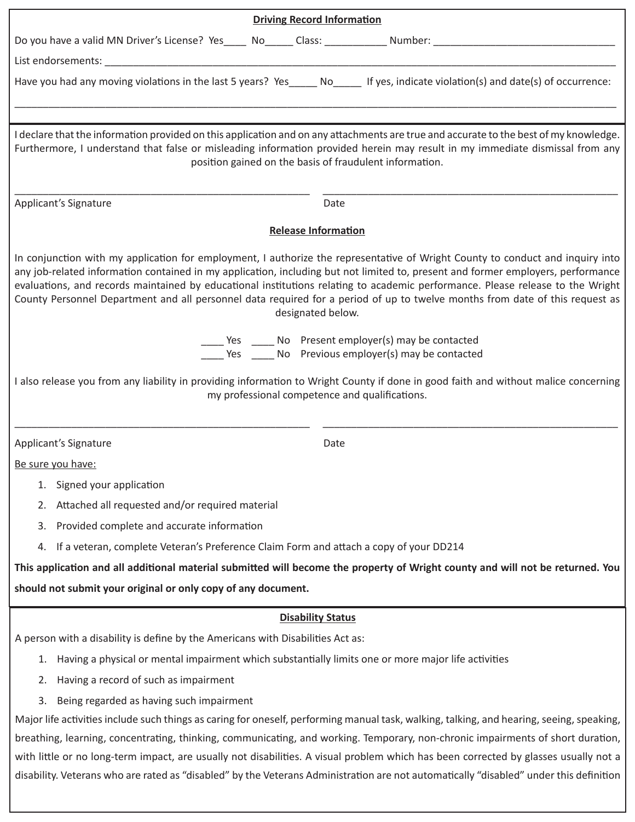| <b>Driving Record Information</b>                                                                                                                                                                                                                                                                                                                                                                                                                                                                                                                         |
|-----------------------------------------------------------------------------------------------------------------------------------------------------------------------------------------------------------------------------------------------------------------------------------------------------------------------------------------------------------------------------------------------------------------------------------------------------------------------------------------------------------------------------------------------------------|
|                                                                                                                                                                                                                                                                                                                                                                                                                                                                                                                                                           |
|                                                                                                                                                                                                                                                                                                                                                                                                                                                                                                                                                           |
| Have you had any moving violations in the last 5 years? Yes____ No____ If yes, indicate violation(s) and date(s) of occurrence:                                                                                                                                                                                                                                                                                                                                                                                                                           |
|                                                                                                                                                                                                                                                                                                                                                                                                                                                                                                                                                           |
| I declare that the information provided on this application and on any attachments are true and accurate to the best of my knowledge.<br>Furthermore, I understand that false or misleading information provided herein may result in my immediate dismissal from any<br>position gained on the basis of fraudulent information.                                                                                                                                                                                                                          |
| Applicant's Signature<br>Date                                                                                                                                                                                                                                                                                                                                                                                                                                                                                                                             |
| <b>Release Information</b>                                                                                                                                                                                                                                                                                                                                                                                                                                                                                                                                |
| In conjunction with my application for employment, I authorize the representative of Wright County to conduct and inquiry into<br>any job-related information contained in my application, including but not limited to, present and former employers, performance<br>evaluations, and records maintained by educational institutions relating to academic performance. Please release to the Wright<br>County Personnel Department and all personnel data required for a period of up to twelve months from date of this request as<br>designated below. |
| ____ Yes _____ No    Present employer(s) may be contacted<br>Ves ______ No Previous employer(s) may be contacted                                                                                                                                                                                                                                                                                                                                                                                                                                          |
| I also release you from any liability in providing information to Wright County if done in good faith and without malice concerning<br>my professional competence and qualifications.                                                                                                                                                                                                                                                                                                                                                                     |
| Applicant's Signature<br>Date                                                                                                                                                                                                                                                                                                                                                                                                                                                                                                                             |
| Be sure you have:                                                                                                                                                                                                                                                                                                                                                                                                                                                                                                                                         |
| Signed your application<br>1.                                                                                                                                                                                                                                                                                                                                                                                                                                                                                                                             |
| Attached all requested and/or required material<br>2.                                                                                                                                                                                                                                                                                                                                                                                                                                                                                                     |
| Provided complete and accurate information<br>3.                                                                                                                                                                                                                                                                                                                                                                                                                                                                                                          |
| If a veteran, complete Veteran's Preference Claim Form and attach a copy of your DD214<br>4.                                                                                                                                                                                                                                                                                                                                                                                                                                                              |
| This application and all additional material submitted will become the property of Wright county and will not be returned. You                                                                                                                                                                                                                                                                                                                                                                                                                            |
| should not submit your original or only copy of any document.                                                                                                                                                                                                                                                                                                                                                                                                                                                                                             |
| <b>Disability Status</b>                                                                                                                                                                                                                                                                                                                                                                                                                                                                                                                                  |
| A person with a disability is define by the Americans with Disabilities Act as:                                                                                                                                                                                                                                                                                                                                                                                                                                                                           |
| Having a physical or mental impairment which substantially limits one or more major life activities<br>1.                                                                                                                                                                                                                                                                                                                                                                                                                                                 |
| Having a record of such as impairment<br>2.                                                                                                                                                                                                                                                                                                                                                                                                                                                                                                               |
| Being regarded as having such impairment<br>3.                                                                                                                                                                                                                                                                                                                                                                                                                                                                                                            |
| Major life activities include such things as caring for oneself, performing manual task, walking, talking, and hearing, seeing, speaking,                                                                                                                                                                                                                                                                                                                                                                                                                 |
| breathing, learning, concentrating, thinking, communicating, and working. Temporary, non-chronic impairments of short duration,                                                                                                                                                                                                                                                                                                                                                                                                                           |
| with little or no long-term impact, are usually not disabilities. A visual problem which has been corrected by glasses usually not a<br>disability. Veterans who are rated as "disabled" by the Veterans Administration are not automatically "disabled" under this definition                                                                                                                                                                                                                                                                            |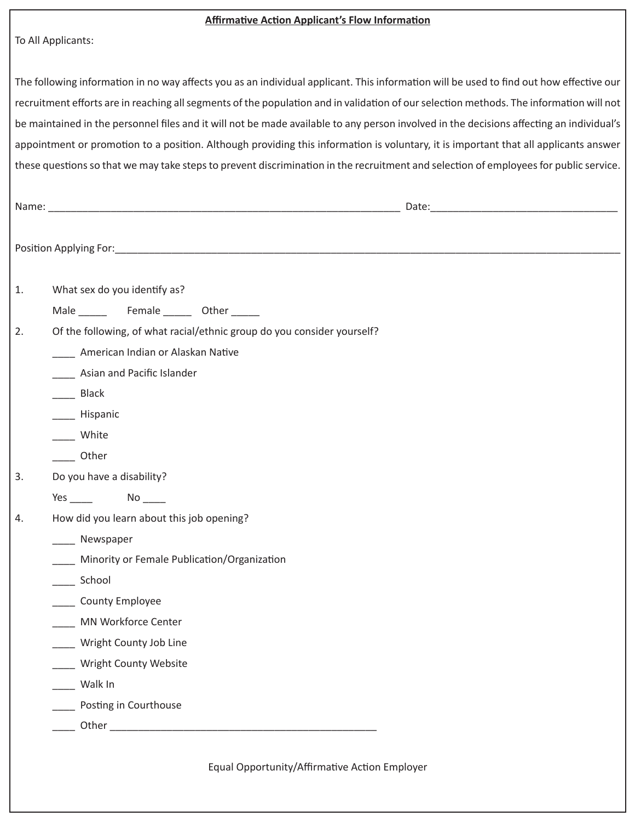| To All Applicants:<br>The following information in no way affects you as an individual applicant. This information will be used to find out how effective our<br>recruitment efforts are in reaching all segments of the population and in validation of our selection methods. The information will not<br>be maintained in the personnel files and it will not be made available to any person involved in the decisions affecting an individual's<br>appointment or promotion to a position. Although providing this information is voluntary, it is important that all applicants answer<br>these questions so that we may take steps to prevent discrimination in the recruitment and selection of employees for public service.<br>What sex do you identify as?<br>1.<br>Of the following, of what racial/ethnic group do you consider yourself?<br>2.<br>American Indian or Alaskan Native<br>Asian and Pacific Islander<br>____ Black<br>______ Hispanic<br>White<br>Other<br>Do you have a disability?<br>3.<br>$No$ <sub>____</sub><br>Yes $\frac{1}{\sqrt{2}}$<br>How did you learn about this job opening?<br>Newspaper<br>Minority or Female Publication/Organization<br>School<br>County Employee<br>MN Workforce Center<br>Wright County Job Line | <b>Affirmative Action Applicant's Flow Information</b> |
|------------------------------------------------------------------------------------------------------------------------------------------------------------------------------------------------------------------------------------------------------------------------------------------------------------------------------------------------------------------------------------------------------------------------------------------------------------------------------------------------------------------------------------------------------------------------------------------------------------------------------------------------------------------------------------------------------------------------------------------------------------------------------------------------------------------------------------------------------------------------------------------------------------------------------------------------------------------------------------------------------------------------------------------------------------------------------------------------------------------------------------------------------------------------------------------------------------------------------------------------------------------|--------------------------------------------------------|
|                                                                                                                                                                                                                                                                                                                                                                                                                                                                                                                                                                                                                                                                                                                                                                                                                                                                                                                                                                                                                                                                                                                                                                                                                                                                  |                                                        |
| 4.                                                                                                                                                                                                                                                                                                                                                                                                                                                                                                                                                                                                                                                                                                                                                                                                                                                                                                                                                                                                                                                                                                                                                                                                                                                               |                                                        |
|                                                                                                                                                                                                                                                                                                                                                                                                                                                                                                                                                                                                                                                                                                                                                                                                                                                                                                                                                                                                                                                                                                                                                                                                                                                                  |                                                        |
|                                                                                                                                                                                                                                                                                                                                                                                                                                                                                                                                                                                                                                                                                                                                                                                                                                                                                                                                                                                                                                                                                                                                                                                                                                                                  |                                                        |
|                                                                                                                                                                                                                                                                                                                                                                                                                                                                                                                                                                                                                                                                                                                                                                                                                                                                                                                                                                                                                                                                                                                                                                                                                                                                  |                                                        |
|                                                                                                                                                                                                                                                                                                                                                                                                                                                                                                                                                                                                                                                                                                                                                                                                                                                                                                                                                                                                                                                                                                                                                                                                                                                                  |                                                        |
|                                                                                                                                                                                                                                                                                                                                                                                                                                                                                                                                                                                                                                                                                                                                                                                                                                                                                                                                                                                                                                                                                                                                                                                                                                                                  |                                                        |
|                                                                                                                                                                                                                                                                                                                                                                                                                                                                                                                                                                                                                                                                                                                                                                                                                                                                                                                                                                                                                                                                                                                                                                                                                                                                  |                                                        |
|                                                                                                                                                                                                                                                                                                                                                                                                                                                                                                                                                                                                                                                                                                                                                                                                                                                                                                                                                                                                                                                                                                                                                                                                                                                                  |                                                        |
|                                                                                                                                                                                                                                                                                                                                                                                                                                                                                                                                                                                                                                                                                                                                                                                                                                                                                                                                                                                                                                                                                                                                                                                                                                                                  |                                                        |
|                                                                                                                                                                                                                                                                                                                                                                                                                                                                                                                                                                                                                                                                                                                                                                                                                                                                                                                                                                                                                                                                                                                                                                                                                                                                  |                                                        |
|                                                                                                                                                                                                                                                                                                                                                                                                                                                                                                                                                                                                                                                                                                                                                                                                                                                                                                                                                                                                                                                                                                                                                                                                                                                                  |                                                        |
|                                                                                                                                                                                                                                                                                                                                                                                                                                                                                                                                                                                                                                                                                                                                                                                                                                                                                                                                                                                                                                                                                                                                                                                                                                                                  |                                                        |
|                                                                                                                                                                                                                                                                                                                                                                                                                                                                                                                                                                                                                                                                                                                                                                                                                                                                                                                                                                                                                                                                                                                                                                                                                                                                  |                                                        |
|                                                                                                                                                                                                                                                                                                                                                                                                                                                                                                                                                                                                                                                                                                                                                                                                                                                                                                                                                                                                                                                                                                                                                                                                                                                                  |                                                        |
|                                                                                                                                                                                                                                                                                                                                                                                                                                                                                                                                                                                                                                                                                                                                                                                                                                                                                                                                                                                                                                                                                                                                                                                                                                                                  |                                                        |
|                                                                                                                                                                                                                                                                                                                                                                                                                                                                                                                                                                                                                                                                                                                                                                                                                                                                                                                                                                                                                                                                                                                                                                                                                                                                  |                                                        |
|                                                                                                                                                                                                                                                                                                                                                                                                                                                                                                                                                                                                                                                                                                                                                                                                                                                                                                                                                                                                                                                                                                                                                                                                                                                                  |                                                        |
|                                                                                                                                                                                                                                                                                                                                                                                                                                                                                                                                                                                                                                                                                                                                                                                                                                                                                                                                                                                                                                                                                                                                                                                                                                                                  |                                                        |
|                                                                                                                                                                                                                                                                                                                                                                                                                                                                                                                                                                                                                                                                                                                                                                                                                                                                                                                                                                                                                                                                                                                                                                                                                                                                  |                                                        |
|                                                                                                                                                                                                                                                                                                                                                                                                                                                                                                                                                                                                                                                                                                                                                                                                                                                                                                                                                                                                                                                                                                                                                                                                                                                                  |                                                        |
|                                                                                                                                                                                                                                                                                                                                                                                                                                                                                                                                                                                                                                                                                                                                                                                                                                                                                                                                                                                                                                                                                                                                                                                                                                                                  |                                                        |
|                                                                                                                                                                                                                                                                                                                                                                                                                                                                                                                                                                                                                                                                                                                                                                                                                                                                                                                                                                                                                                                                                                                                                                                                                                                                  |                                                        |
|                                                                                                                                                                                                                                                                                                                                                                                                                                                                                                                                                                                                                                                                                                                                                                                                                                                                                                                                                                                                                                                                                                                                                                                                                                                                  |                                                        |
|                                                                                                                                                                                                                                                                                                                                                                                                                                                                                                                                                                                                                                                                                                                                                                                                                                                                                                                                                                                                                                                                                                                                                                                                                                                                  |                                                        |
|                                                                                                                                                                                                                                                                                                                                                                                                                                                                                                                                                                                                                                                                                                                                                                                                                                                                                                                                                                                                                                                                                                                                                                                                                                                                  |                                                        |
|                                                                                                                                                                                                                                                                                                                                                                                                                                                                                                                                                                                                                                                                                                                                                                                                                                                                                                                                                                                                                                                                                                                                                                                                                                                                  |                                                        |
|                                                                                                                                                                                                                                                                                                                                                                                                                                                                                                                                                                                                                                                                                                                                                                                                                                                                                                                                                                                                                                                                                                                                                                                                                                                                  |                                                        |
|                                                                                                                                                                                                                                                                                                                                                                                                                                                                                                                                                                                                                                                                                                                                                                                                                                                                                                                                                                                                                                                                                                                                                                                                                                                                  | ___ Wright County Website                              |
| Walk In                                                                                                                                                                                                                                                                                                                                                                                                                                                                                                                                                                                                                                                                                                                                                                                                                                                                                                                                                                                                                                                                                                                                                                                                                                                          |                                                        |
| ___ Posting in Courthouse                                                                                                                                                                                                                                                                                                                                                                                                                                                                                                                                                                                                                                                                                                                                                                                                                                                                                                                                                                                                                                                                                                                                                                                                                                        |                                                        |
| Other and the contract of the contract of the contract of the contract of the contract of the contract of the                                                                                                                                                                                                                                                                                                                                                                                                                                                                                                                                                                                                                                                                                                                                                                                                                                                                                                                                                                                                                                                                                                                                                    |                                                        |
|                                                                                                                                                                                                                                                                                                                                                                                                                                                                                                                                                                                                                                                                                                                                                                                                                                                                                                                                                                                                                                                                                                                                                                                                                                                                  |                                                        |

Equal Opportunity/Affirmative Action Employer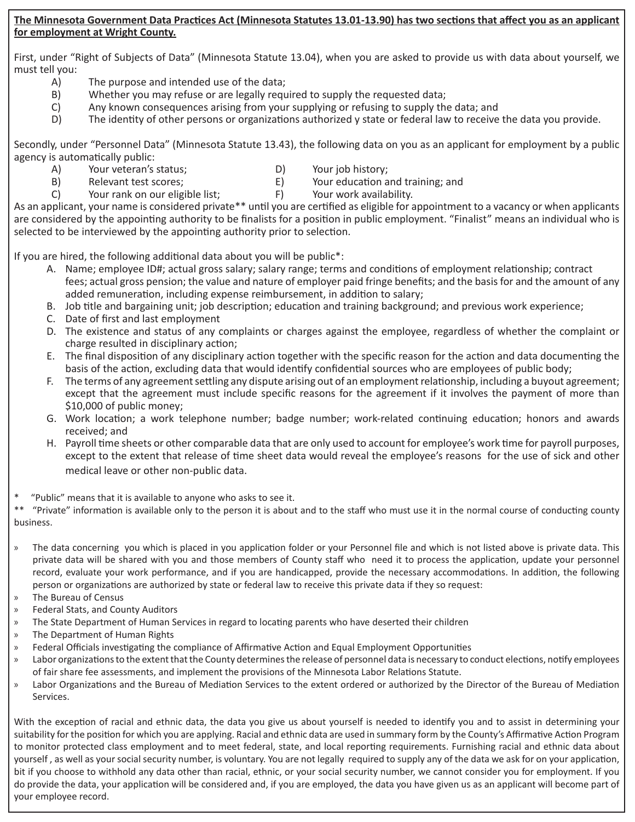### **The Minnesota Government Data Practices Act (Minnesota Statutes 13.01-13.90) has two sections that affect you as an applicant for employment at Wright County.**

First, under "Right of Subjects of Data" (Minnesota Statute 13.04), when you are asked to provide us with data about yourself, we must tell you:

- A) The purpose and intended use of the data;
- B) Whether you may refuse or are legally required to supply the requested data;
- C) Any known consequences arising from your supplying or refusing to supply the data; and
- D) The identity of other persons or organizations authorized y state or federal law to receive the data you provide.

Secondly, under "Personnel Data" (Minnesota Statute 13.43), the following data on you as an applicant for employment by a public agency is automatically public:

- A) Your veteran's status; D) Your job history;
	-
- B) Relevant test scores; E) Your education and training; and
- 
- C) Your rank on our eligible list; F) Your work availability.

As an applicant, your name is considered private\*\* until you are certified as eligible for appointment to a vacancy or when applicants are considered by the appointing authority to be finalists for a position in public employment. "Finalist" means an individual who is selected to be interviewed by the appointing authority prior to selection.

If you are hired, the following additional data about you will be public\*:

- A. Name; employee ID#; actual gross salary; salary range; terms and conditions of employment relationship; contract fees; actual gross pension; the value and nature of employer paid fringe benefits; and the basis for and the amount of any added remuneration, including expense reimbursement, in addition to salary;
- B. Job title and bargaining unit; job description; education and training background; and previous work experience;
- C. Date of first and last employment
- D. The existence and status of any complaints or charges against the employee, regardless of whether the complaint or charge resulted in disciplinary action;
- E. The final disposition of any disciplinary action together with the specific reason for the action and data documenting the basis of the action, excluding data that would identify confidential sources who are employees of public body;
- F. The terms of any agreement settling any dispute arising out of an employment relationship, including a buyout agreement; except that the agreement must include specific reasons for the agreement if it involves the payment of more than \$10,000 of public money;
- G. Work location; a work telephone number; badge number; work-related continuing education; honors and awards received; and
- H. Payroll time sheets or other comparable data that are only used to account for employee's work time for payroll purposes, except to the extent that release of time sheet data would reveal the employee's reasons for the use of sick and other medical leave or other non-public data.

\* "Public" means that it is available to anyone who asks to see it.

\*\* "Private" information is available only to the person it is about and to the staff who must use it in the normal course of conducting county business.

- » The data concerning you which is placed in you application folder or your Personnel file and which is not listed above is private data. This private data will be shared with you and those members of County staff who need it to process the application, update your personnel record, evaluate your work performance, and if you are handicapped, provide the necessary accommodations. In addition, the following person or organizations are authorized by state or federal law to receive this private data if they so request:
- » The Bureau of Census
- » Federal Stats, and County Auditors
- » The State Department of Human Services in regard to locating parents who have deserted their children
- » The Department of Human Rights
- » Federal Officials investigating the compliance of Affirmative Action and Equal Employment Opportunities
- » Labor organizations to the extent that the County determines the release of personnel data is necessary to conduct elections, notify employees of fair share fee assessments, and implement the provisions of the Minnesota Labor Relations Statute.
- » Labor Organizations and the Bureau of Mediation Services to the extent ordered or authorized by the Director of the Bureau of Mediation Services.

With the exception of racial and ethnic data, the data you give us about yourself is needed to identify you and to assist in determining your suitability for the position for which you are applying. Racial and ethnic data are used in summary form by the County's Affirmative Action Program to monitor protected class employment and to meet federal, state, and local reporting requirements. Furnishing racial and ethnic data about yourself , as well as your social security number, is voluntary. You are not legally required to supply any of the data we ask for on your application, bit if you choose to withhold any data other than racial, ethnic, or your social security number, we cannot consider you for employment. If you do provide the data, your application will be considered and, if you are employed, the data you have given us as an applicant will become part of your employee record.